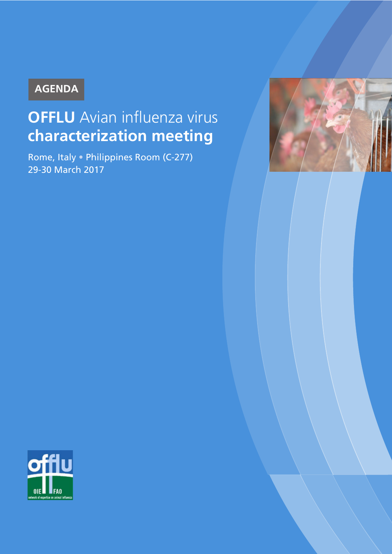## **AGENDA**

# **OFFLU** Avian influenza virus **characterization meeting**

Rome, Italy • Philippines Room (C-277) 29-30 March 2017



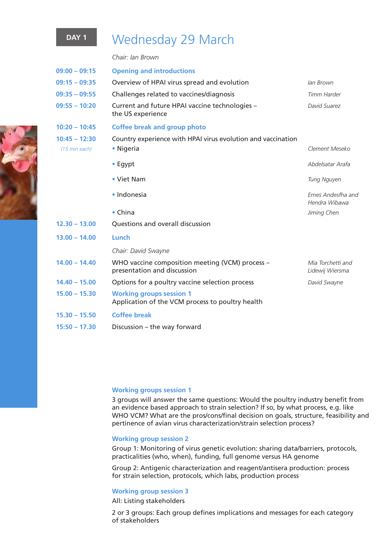### **DAY 1** Wednesday 29 March

*Chair: Ian Brown*

| $09:00 - 09:15$                  | <b>Opening and introductions</b>                                                    |                                      |
|----------------------------------|-------------------------------------------------------------------------------------|--------------------------------------|
| $09:15 - 09:35$                  | Overview of HPAI virus spread and evolution                                         | lan Brown                            |
| $09:35 - 09:55$                  | Challenges related to vaccines/diagnosis                                            | Timm Harder                          |
| $09:55 - 10:20$                  | Current and future HPAI vaccine technologies -<br>the US experience                 | David Suarez                         |
| $10:20 - 10:45$                  | <b>Coffee break and group photo</b>                                                 |                                      |
| $10:45 - 12:30$<br>(15 min each) | Country experience with HPAI virus evolution and vaccination<br>• Nigeria           | Clement Meseko                       |
|                                  | • Egypt                                                                             | Abdelsatar Arafa                     |
|                                  | • Viet Nam                                                                          | <b>Tung Nguyen</b>                   |
|                                  | • Indonesia                                                                         | Ernes Andesfha and<br>Hendra Wibawa  |
|                                  | $\bullet$ China                                                                     | Jiming Chen                          |
| $12.30 - 13.00$                  | Questions and overall discussion                                                    |                                      |
| $13.00 - 14.00$                  | Lunch                                                                               |                                      |
|                                  | Chair: David Swayne                                                                 |                                      |
| $14.00 - 14.40$                  | WHO vaccine composition meeting (VCM) process -<br>presentation and discussion      | Mia Torchetti and<br>Lidewij Wiersma |
| $14.40 - 15.00$                  | Options for a poultry vaccine selection process                                     | David Swayne                         |
| $15.00 - 15.30$                  | <b>Working groups session 1</b><br>Application of the VCM process to poultry health |                                      |
| $15.30 - 15.50$                  | <b>Coffee break</b>                                                                 |                                      |
| $15:50 - 17.30$                  | Discussion - the way forward                                                        |                                      |

#### **Working groups session 1**

3 groups will answer the same questions: Would the poultry industry benefit from an evidence based approach to strain selection? If so, by what process, e.g. like WHO VCM? What are the pros/cons/final decision on goals, structure, feasibility and pertinence of avian virus characterization/strain selection process?

#### **Working group session 2**

Group 1: Monitoring of virus genetic evolution: sharing data/barriers, protocols, practicalities (who, when), funding, full genome versus HA genome

Group 2: Antigenic characterization and reagent/antisera production: process for strain selection, protocols, which labs, production process

#### **Working group session 3**

All: Listing stakeholders

2 or 3 groups: Each group defines implications and messages for each category of stakeholders

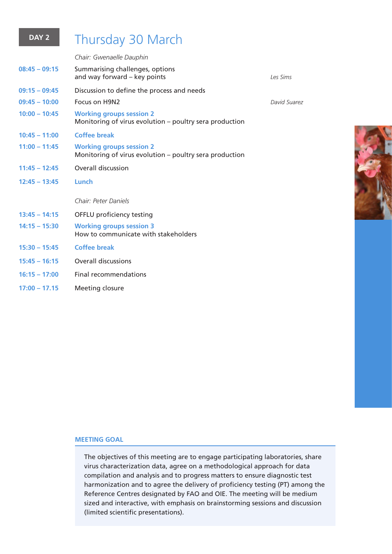### **DAY 2** Thursday 30 March

*Chair: Gwenaelle Dauphin* **08:45 – 09:15** Summarising challenges, options and way forward – key points *Les Sims* **09:15 – 09:45** Discussion to define the process and needs **09:45 – 10:00** Focus on H9N2 *David Suarez* **10:00 – 10:45 Working groups session 2** Monitoring of virus evolution – poultry sera production **10:45 – 11:00 Coffee break 11:00 – 11:45 Working groups session 2** Monitoring of virus evolution – poultry sera production **11:45 – 12:45** Overall discussion **12:45 – 13:45 Lunch** *Chair: Peter Daniels* **13:45 – 14:15** OFFLU proficiency testing **14:15 – 15:30 Working groups session 3** How to communicate with stakeholders **15:30 – 15:45 Coffee break 15:45 – 16:15** Overall discussions **16:15 – 17:00** Final recommendations **17:00 – 17.15** Meeting closure



### **MEETING GOAL**

The objectives of this meeting are to engage participating laboratories, share virus characterization data, agree on a methodological approach for data compilation and analysis and to progress matters to ensure diagnostic test harmonization and to agree the delivery of proficiency testing (PT) among the Reference Centres designated by FAO and OIE. The meeting will be medium sized and interactive, with emphasis on brainstorming sessions and discussion (limited scientific presentations).